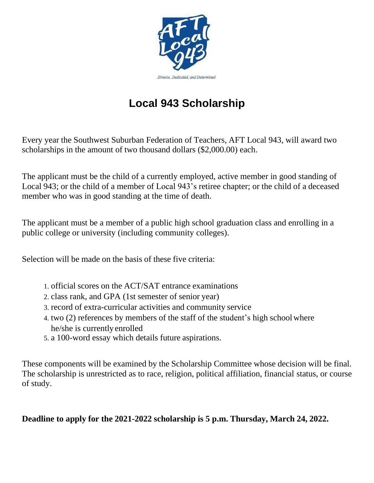

## **Local 943 Scholarship**

Every year the Southwest Suburban Federation of Teachers, AFT Local 943, will award two scholarships in the amount of two thousand dollars (\$2,000.00) each.

The applicant must be the child of a currently employed, active member in good standing of Local 943; or the child of a member of Local 943's retiree chapter; or the child of a deceased member who was in good standing at the time of death.

The applicant must be a member of a public high school graduation class and enrolling in a public college or university (including community colleges).

Selection will be made on the basis of these five criteria:

- 1. official scores on the ACT/SAT entrance examinations
- 2. class rank, and GPA (1st semester of senior year)
- 3. record of extra-curricular activities and community service
- 4. two (2) references by members of the staff of the student's high school where he/she is currently enrolled
- 5. a 100-word essay which details future aspirations.

These components will be examined by the Scholarship Committee whose decision will be final. The scholarship is unrestricted as to race, religion, political affiliation, financial status, or course of study.

**Deadline to apply for the 2021-2022 scholarship is 5 p.m. Thursday, March 24, 2022.**